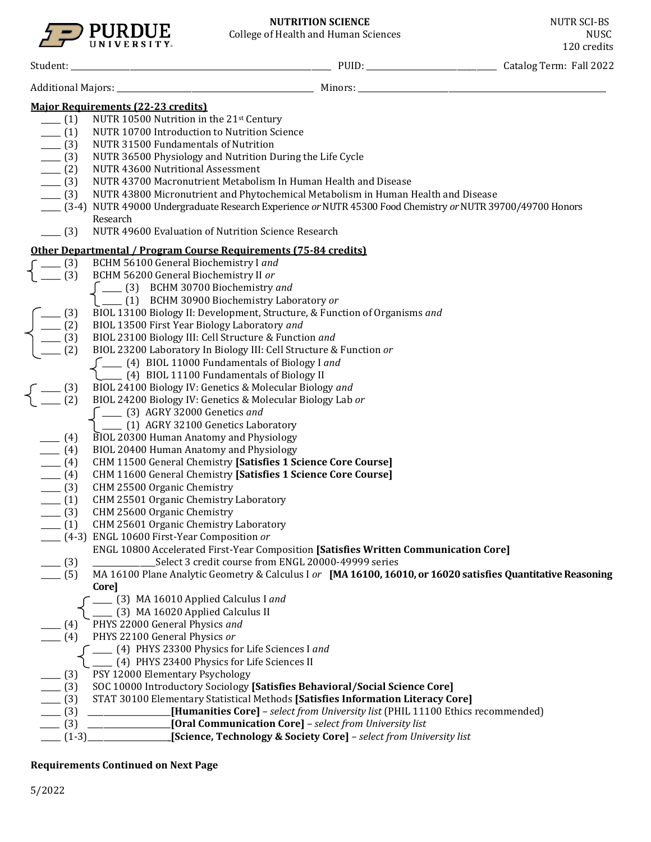

| <b>Major Requirements (22-23 credits)</b>                   |                                                                                                            |  |                                                                                                              |  |  |  |  |  |
|-------------------------------------------------------------|------------------------------------------------------------------------------------------------------------|--|--------------------------------------------------------------------------------------------------------------|--|--|--|--|--|
| $- (1)$                                                     | NUTR 10500 Nutrition in the 21st Century                                                                   |  |                                                                                                              |  |  |  |  |  |
| (1)                                                         | NUTR 10700 Introduction to Nutrition Science                                                               |  |                                                                                                              |  |  |  |  |  |
| $\frac{1}{2}$ (3)                                           | NUTR 31500 Fundamentals of Nutrition                                                                       |  |                                                                                                              |  |  |  |  |  |
|                                                             | NUTR 36500 Physiology and Nutrition During the Life Cycle                                                  |  |                                                                                                              |  |  |  |  |  |
|                                                             | <b>NUTR 43600 Nutritional Assessment</b>                                                                   |  |                                                                                                              |  |  |  |  |  |
| $\frac{1}{2}$ (3)<br>$\frac{1}{2}$ (3)<br>$\frac{1}{2}$ (3) | NUTR 43700 Macronutrient Metabolism In Human Health and Disease                                            |  |                                                                                                              |  |  |  |  |  |
| $- (3)$                                                     | NUTR 43800 Micronutrient and Phytochemical Metabolism in Human Health and Disease                          |  |                                                                                                              |  |  |  |  |  |
|                                                             | [3-4] NUTR 49000 Undergraduate Research Experience or NUTR 45300 Food Chemistry or NUTR 39700/49700 Honors |  |                                                                                                              |  |  |  |  |  |
|                                                             | Research                                                                                                   |  |                                                                                                              |  |  |  |  |  |
| $- (3)$                                                     | NUTR 49600 Evaluation of Nutrition Science Research                                                        |  |                                                                                                              |  |  |  |  |  |
|                                                             | Other Departmental / Program Course Requirements (75-84 credits)                                           |  |                                                                                                              |  |  |  |  |  |
| $-$ (3)                                                     | BCHM 56100 General Biochemistry I and                                                                      |  |                                                                                                              |  |  |  |  |  |
| $-$ (3)                                                     | BCHM 56200 General Biochemistry II or                                                                      |  |                                                                                                              |  |  |  |  |  |
|                                                             | $\int$ ____ (3) BCHM 30700 Biochemistry and                                                                |  |                                                                                                              |  |  |  |  |  |
|                                                             | [1000000 Biochemistry Laboratory or                                                                        |  |                                                                                                              |  |  |  |  |  |
|                                                             | BIOL 13100 Biology II: Development, Structure, & Function of Organisms and                                 |  |                                                                                                              |  |  |  |  |  |
|                                                             | BIOL 13500 First Year Biology Laboratory and                                                               |  |                                                                                                              |  |  |  |  |  |
| $\sqrt{\frac{-(3)}{2}}$<br>(3)                              | BIOL 23100 Biology III: Cell Structure & Function and                                                      |  |                                                                                                              |  |  |  |  |  |
|                                                             | BIOL 23200 Laboratory In Biology III: Cell Structure & Function or                                         |  |                                                                                                              |  |  |  |  |  |
|                                                             | (4) BIOL 11000 Fundamentals of Biology I and                                                               |  |                                                                                                              |  |  |  |  |  |
|                                                             | (4) BIOL 11100 Fundamentals of Biology II                                                                  |  |                                                                                                              |  |  |  |  |  |
| $\frac{1}{2}$ (3)                                           | BIOL 24100 Biology IV: Genetics & Molecular Biology and                                                    |  |                                                                                                              |  |  |  |  |  |
|                                                             | BIOL 24200 Biology IV: Genetics & Molecular Biology Lab or                                                 |  |                                                                                                              |  |  |  |  |  |
|                                                             | [ ____ (3) AGRY 32000 Genetics and                                                                         |  |                                                                                                              |  |  |  |  |  |
|                                                             | _____ (1) AGRY 32100 Genetics Laboratory                                                                   |  |                                                                                                              |  |  |  |  |  |
| $- (4)$                                                     | BIOL 20300 Human Anatomy and Physiology                                                                    |  |                                                                                                              |  |  |  |  |  |
| $- (4)$                                                     | BIOL 20400 Human Anatomy and Physiology                                                                    |  |                                                                                                              |  |  |  |  |  |
| $(4)$<br>(4)                                                | CHM 11500 General Chemistry [Satisfies 1 Science Core Course]                                              |  |                                                                                                              |  |  |  |  |  |
|                                                             | CHM 11600 General Chemistry [Satisfies 1 Science Core Course]                                              |  |                                                                                                              |  |  |  |  |  |
| $- (3)$                                                     | CHM 25500 Organic Chemistry                                                                                |  |                                                                                                              |  |  |  |  |  |
| $\frac{1}{\sqrt{1-\frac{1}{2}}}$                            | CHM 25501 Organic Chemistry Laboratory                                                                     |  |                                                                                                              |  |  |  |  |  |
| $- (3)$                                                     | CHM 25600 Organic Chemistry                                                                                |  |                                                                                                              |  |  |  |  |  |
| $\frac{1}{\sqrt{1-\frac{1}{2}}}$                            | CHM 25601 Organic Chemistry Laboratory                                                                     |  |                                                                                                              |  |  |  |  |  |
|                                                             | (4-3) ENGL 10600 First-Year Composition or                                                                 |  |                                                                                                              |  |  |  |  |  |
|                                                             | <b>ENGL 10800 Accelerated First-Year Composition [Satisfies Written Communication Core]</b>                |  |                                                                                                              |  |  |  |  |  |
| (3)                                                         | Select 3 credit course from ENGL 20000-49999 series                                                        |  |                                                                                                              |  |  |  |  |  |
| (5)                                                         | Core]                                                                                                      |  | MA 16100 Plane Analytic Geometry & Calculus I or [MA 16100, 16010, or 16020 satisfies Quantitative Reasoning |  |  |  |  |  |
|                                                             | ___ (3) MA 16010 Applied Calculus I and                                                                    |  |                                                                                                              |  |  |  |  |  |
|                                                             | (3) MA 16020 Applied Calculus II                                                                           |  |                                                                                                              |  |  |  |  |  |
| (4)                                                         | PHYS 22000 General Physics and                                                                             |  |                                                                                                              |  |  |  |  |  |
| (4)                                                         | PHYS 22100 General Physics or                                                                              |  |                                                                                                              |  |  |  |  |  |
|                                                             | (4) PHYS 23300 Physics for Life Sciences I and                                                             |  |                                                                                                              |  |  |  |  |  |
|                                                             | (4) PHYS 23400 Physics for Life Sciences II                                                                |  |                                                                                                              |  |  |  |  |  |
| (3)                                                         | PSY 12000 Elementary Psychology                                                                            |  |                                                                                                              |  |  |  |  |  |
| (3)                                                         | SOC 10000 Introductory Sociology [Satisfies Behavioral/Social Science Core]                                |  |                                                                                                              |  |  |  |  |  |
| (3)                                                         | STAT 30100 Elementary Statistical Methods [Satisfies Information Literacy Core]                            |  |                                                                                                              |  |  |  |  |  |
| (3)                                                         |                                                                                                            |  | [Humanities Core] - select from University list (PHIL 11100 Ethics recommended)                              |  |  |  |  |  |
| (3)                                                         | [Oral Communication Core] - select from University list                                                    |  |                                                                                                              |  |  |  |  |  |
| $(1-3)$                                                     | [Science, Technology & Society Core] - select from University list                                         |  |                                                                                                              |  |  |  |  |  |

# **Requirements Continued on Next Page**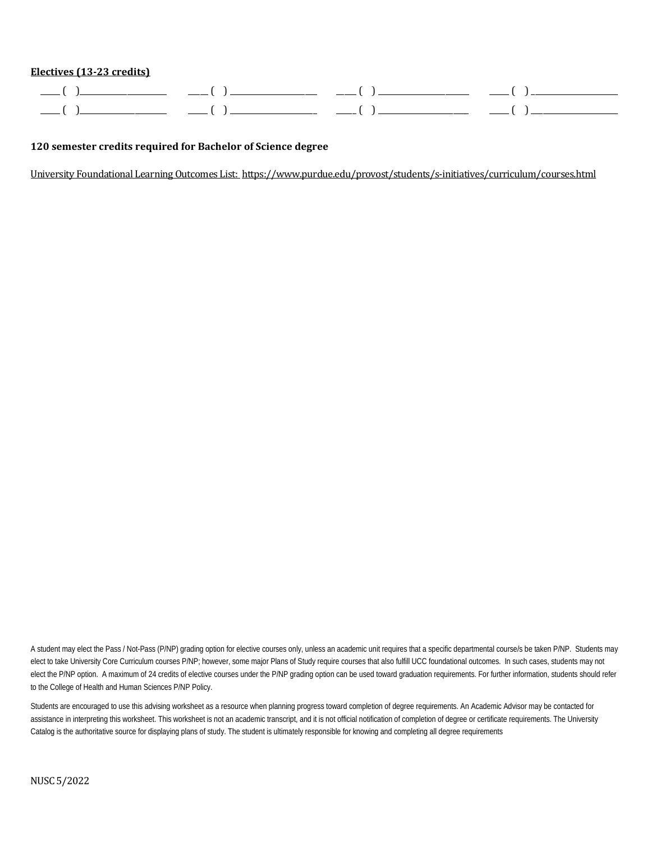### **Electives (13-23 credits)**

| ______ | ______________________ | ______<br>________________________________ | $- - - - -$      | ______                                     |
|--------|------------------------|--------------------------------------------|------------------|--------------------------------------------|
| _____  | _____________________  | ______<br>_____________________<br>_______ | _____<br>_______ | ______<br>______________________<br>______ |

### **120 semester credits required for Bachelor of Science degree**

University Foundational Learning Outcomes List:<https://www.purdue.edu/provost/students/s-initiatives/curriculum/courses.html>

A student may elect the Pass / Not-Pass (P/NP) grading option for elective courses only, unless an academic unit requires that a specific departmental course/s be taken P/NP. Students may elect to take University Core Curriculum courses P/NP; however, some major Plans of Study require courses that also fulfill UCC foundational outcomes. In such cases, students may not elect the P/NP option. A maximum of 24 credits of elective courses under the P/NP grading option can be used toward graduation requirements. For further information, students should refer to the College of Health and Human Sciences P/NP Policy.

Students are encouraged to use this advising worksheet as a resource when planning progress toward completion of degree requirements. An Academic Advisor may be contacted for assistance in interpreting this worksheet. This worksheet is not an academic transcript, and it is not official notification of completion of degree or certificate requirements. The University Catalog is the authoritative source for displaying plans of study. The student is ultimately responsible for knowing and completing all degree requirements